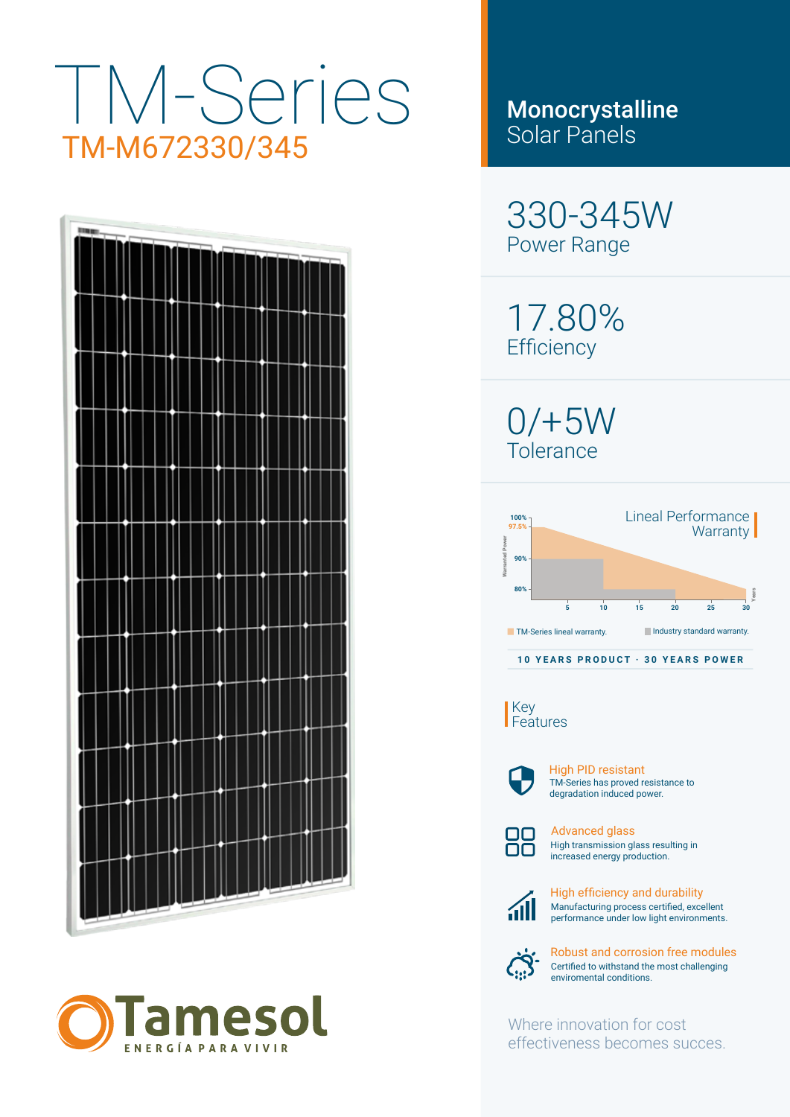# TM-Series TM-M672330/345





Monocrystalline Solar Panels

330-345W Power Range

17.80% **Efficiency** 

0/+5W Tolerance



Key Features



TM-Series has proved resistance to degradation induced power. High PID resistant



High transmission glass resulting in increased energy production. Advanced glass



Manufacturing process certified, excellent performance under low light environments. High efficiency and durability



Certified to withstand the most challenging enviromental conditions. Robust and corrosion free modules

Where innovation for cost effectiveness becomes succes.